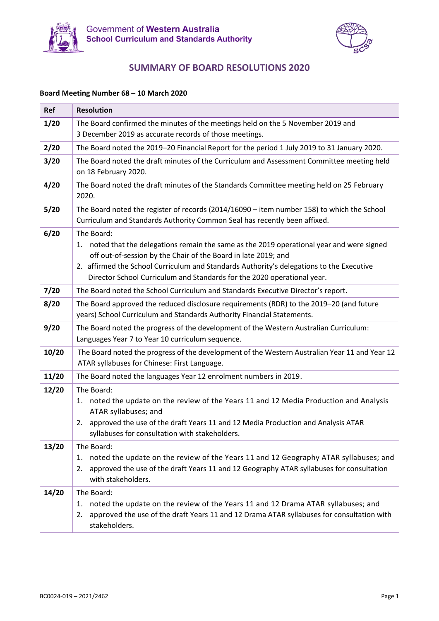



# **SUMMARY OF BOARD RESOLUTIONS 2020**

#### **Board Meeting Number 68 – 10 March 2020**

| Ref   | <b>Resolution</b>                                                                                                                                                                                                                                                                                                                                    |
|-------|------------------------------------------------------------------------------------------------------------------------------------------------------------------------------------------------------------------------------------------------------------------------------------------------------------------------------------------------------|
| 1/20  | The Board confirmed the minutes of the meetings held on the 5 November 2019 and<br>3 December 2019 as accurate records of those meetings.                                                                                                                                                                                                            |
| 2/20  | The Board noted the 2019-20 Financial Report for the period 1 July 2019 to 31 January 2020.                                                                                                                                                                                                                                                          |
| 3/20  | The Board noted the draft minutes of the Curriculum and Assessment Committee meeting held<br>on 18 February 2020.                                                                                                                                                                                                                                    |
| 4/20  | The Board noted the draft minutes of the Standards Committee meeting held on 25 February<br>2020.                                                                                                                                                                                                                                                    |
| 5/20  | The Board noted the register of records (2014/16090 - item number 158) to which the School<br>Curriculum and Standards Authority Common Seal has recently been affixed.                                                                                                                                                                              |
| 6/20  | The Board:<br>noted that the delegations remain the same as the 2019 operational year and were signed<br>1.<br>off out-of-session by the Chair of the Board in late 2019; and<br>2. affirmed the School Curriculum and Standards Authority's delegations to the Executive<br>Director School Curriculum and Standards for the 2020 operational year. |
| 7/20  | The Board noted the School Curriculum and Standards Executive Director's report.                                                                                                                                                                                                                                                                     |
| 8/20  | The Board approved the reduced disclosure requirements (RDR) to the 2019-20 (and future<br>years) School Curriculum and Standards Authority Financial Statements.                                                                                                                                                                                    |
| 9/20  | The Board noted the progress of the development of the Western Australian Curriculum:<br>Languages Year 7 to Year 10 curriculum sequence.                                                                                                                                                                                                            |
| 10/20 | The Board noted the progress of the development of the Western Australian Year 11 and Year 12<br>ATAR syllabuses for Chinese: First Language.                                                                                                                                                                                                        |
| 11/20 | The Board noted the languages Year 12 enrolment numbers in 2019.                                                                                                                                                                                                                                                                                     |
| 12/20 | The Board:<br>noted the update on the review of the Years 11 and 12 Media Production and Analysis<br>1.<br>ATAR syllabuses; and<br>approved the use of the draft Years 11 and 12 Media Production and Analysis ATAR<br>2.<br>syllabuses for consultation with stakeholders.                                                                          |
| 13/20 | The Board:<br>noted the update on the review of the Years 11 and 12 Geography ATAR syllabuses; and<br>1.<br>approved the use of the draft Years 11 and 12 Geography ATAR syllabuses for consultation<br>2.<br>with stakeholders.                                                                                                                     |
| 14/20 | The Board:<br>noted the update on the review of the Years 11 and 12 Drama ATAR syllabuses; and<br>1.<br>approved the use of the draft Years 11 and 12 Drama ATAR syllabuses for consultation with<br>2.<br>stakeholders.                                                                                                                             |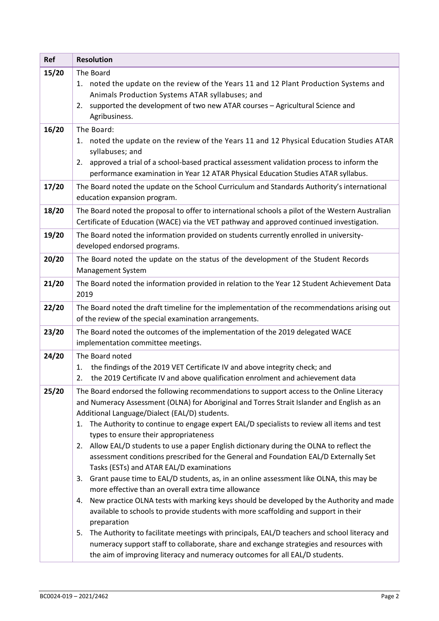| <b>Resolution</b>                                                                                                                                                                                                                                                                                                                                                                                                                                                                                                                                                                                                                                                                                                                                                                                                                                                                                                                                                                                                                                                                                                                                                                                                                                                     |  |
|-----------------------------------------------------------------------------------------------------------------------------------------------------------------------------------------------------------------------------------------------------------------------------------------------------------------------------------------------------------------------------------------------------------------------------------------------------------------------------------------------------------------------------------------------------------------------------------------------------------------------------------------------------------------------------------------------------------------------------------------------------------------------------------------------------------------------------------------------------------------------------------------------------------------------------------------------------------------------------------------------------------------------------------------------------------------------------------------------------------------------------------------------------------------------------------------------------------------------------------------------------------------------|--|
| The Board<br>1. noted the update on the review of the Years 11 and 12 Plant Production Systems and<br>Animals Production Systems ATAR syllabuses; and<br>supported the development of two new ATAR courses - Agricultural Science and<br>2.<br>Agribusiness.                                                                                                                                                                                                                                                                                                                                                                                                                                                                                                                                                                                                                                                                                                                                                                                                                                                                                                                                                                                                          |  |
| The Board:<br>1. noted the update on the review of the Years 11 and 12 Physical Education Studies ATAR<br>syllabuses; and<br>2. approved a trial of a school-based practical assessment validation process to inform the<br>performance examination in Year 12 ATAR Physical Education Studies ATAR syllabus.                                                                                                                                                                                                                                                                                                                                                                                                                                                                                                                                                                                                                                                                                                                                                                                                                                                                                                                                                         |  |
| The Board noted the update on the School Curriculum and Standards Authority's international<br>education expansion program.                                                                                                                                                                                                                                                                                                                                                                                                                                                                                                                                                                                                                                                                                                                                                                                                                                                                                                                                                                                                                                                                                                                                           |  |
| The Board noted the proposal to offer to international schools a pilot of the Western Australian<br>Certificate of Education (WACE) via the VET pathway and approved continued investigation.                                                                                                                                                                                                                                                                                                                                                                                                                                                                                                                                                                                                                                                                                                                                                                                                                                                                                                                                                                                                                                                                         |  |
| The Board noted the information provided on students currently enrolled in university-<br>developed endorsed programs.                                                                                                                                                                                                                                                                                                                                                                                                                                                                                                                                                                                                                                                                                                                                                                                                                                                                                                                                                                                                                                                                                                                                                |  |
| The Board noted the update on the status of the development of the Student Records<br>Management System                                                                                                                                                                                                                                                                                                                                                                                                                                                                                                                                                                                                                                                                                                                                                                                                                                                                                                                                                                                                                                                                                                                                                               |  |
| The Board noted the information provided in relation to the Year 12 Student Achievement Data<br>2019                                                                                                                                                                                                                                                                                                                                                                                                                                                                                                                                                                                                                                                                                                                                                                                                                                                                                                                                                                                                                                                                                                                                                                  |  |
| The Board noted the draft timeline for the implementation of the recommendations arising out<br>of the review of the special examination arrangements.                                                                                                                                                                                                                                                                                                                                                                                                                                                                                                                                                                                                                                                                                                                                                                                                                                                                                                                                                                                                                                                                                                                |  |
| The Board noted the outcomes of the implementation of the 2019 delegated WACE<br>implementation committee meetings.                                                                                                                                                                                                                                                                                                                                                                                                                                                                                                                                                                                                                                                                                                                                                                                                                                                                                                                                                                                                                                                                                                                                                   |  |
| The Board noted<br>the findings of the 2019 VET Certificate IV and above integrity check; and<br>1.<br>the 2019 Certificate IV and above qualification enrolment and achievement data<br>2.                                                                                                                                                                                                                                                                                                                                                                                                                                                                                                                                                                                                                                                                                                                                                                                                                                                                                                                                                                                                                                                                           |  |
| The Board endorsed the following recommendations to support access to the Online Literacy<br>and Numeracy Assessment (OLNA) for Aboriginal and Torres Strait Islander and English as an<br>Additional Language/Dialect (EAL/D) students.<br>The Authority to continue to engage expert EAL/D specialists to review all items and test<br>1.<br>types to ensure their appropriateness<br>Allow EAL/D students to use a paper English dictionary during the OLNA to reflect the<br>2.<br>assessment conditions prescribed for the General and Foundation EAL/D Externally Set<br>Tasks (ESTs) and ATAR EAL/D examinations<br>Grant pause time to EAL/D students, as, in an online assessment like OLNA, this may be<br>3.<br>more effective than an overall extra time allowance<br>New practice OLNA tests with marking keys should be developed by the Authority and made<br>4.<br>available to schools to provide students with more scaffolding and support in their<br>preparation<br>The Authority to facilitate meetings with principals, EAL/D teachers and school literacy and<br>5.<br>numeracy support staff to collaborate, share and exchange strategies and resources with<br>the aim of improving literacy and numeracy outcomes for all EAL/D students. |  |
|                                                                                                                                                                                                                                                                                                                                                                                                                                                                                                                                                                                                                                                                                                                                                                                                                                                                                                                                                                                                                                                                                                                                                                                                                                                                       |  |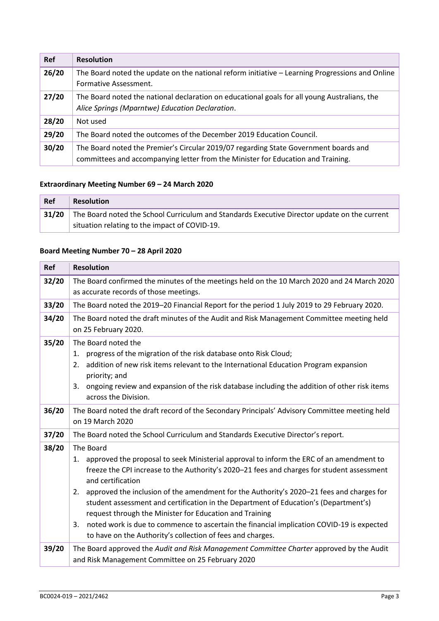| <b>Ref</b> | <b>Resolution</b>                                                                                                                                                        |
|------------|--------------------------------------------------------------------------------------------------------------------------------------------------------------------------|
| 26/20      | The Board noted the update on the national reform initiative – Learning Progressions and Online<br>Formative Assessment.                                                 |
| 27/20      | The Board noted the national declaration on educational goals for all young Australians, the<br>Alice Springs (Mparntwe) Education Declaration.                          |
| 28/20      | Not used                                                                                                                                                                 |
| 29/20      | The Board noted the outcomes of the December 2019 Education Council.                                                                                                     |
| 30/20      | The Board noted the Premier's Circular 2019/07 regarding State Government boards and<br>committees and accompanying letter from the Minister for Education and Training. |

### **Extraordinary Meeting Number 69 – 24 March 2020**

| Ref   | Resolution                                                                                   |  |
|-------|----------------------------------------------------------------------------------------------|--|
| 31/20 | The Board noted the School Curriculum and Standards Executive Director update on the current |  |
|       | situation relating to the impact of COVID-19.                                                |  |

### **Board Meeting Number 70 – 28 April 2020**

| <b>Ref</b> | <b>Resolution</b>                                                                                                                                                                                                                                                                                                                                                                                                                                                                                                                                                                                                                                   |
|------------|-----------------------------------------------------------------------------------------------------------------------------------------------------------------------------------------------------------------------------------------------------------------------------------------------------------------------------------------------------------------------------------------------------------------------------------------------------------------------------------------------------------------------------------------------------------------------------------------------------------------------------------------------------|
| 32/20      | The Board confirmed the minutes of the meetings held on the 10 March 2020 and 24 March 2020<br>as accurate records of those meetings.                                                                                                                                                                                                                                                                                                                                                                                                                                                                                                               |
| 33/20      | The Board noted the 2019-20 Financial Report for the period 1 July 2019 to 29 February 2020.                                                                                                                                                                                                                                                                                                                                                                                                                                                                                                                                                        |
| 34/20      | The Board noted the draft minutes of the Audit and Risk Management Committee meeting held<br>on 25 February 2020.                                                                                                                                                                                                                                                                                                                                                                                                                                                                                                                                   |
| 35/20      | The Board noted the<br>progress of the migration of the risk database onto Risk Cloud;<br>1.<br>addition of new risk items relevant to the International Education Program expansion<br>2.<br>priority; and<br>ongoing review and expansion of the risk database including the addition of other risk items<br>3.<br>across the Division.                                                                                                                                                                                                                                                                                                           |
| 36/20      | The Board noted the draft record of the Secondary Principals' Advisory Committee meeting held<br>on 19 March 2020                                                                                                                                                                                                                                                                                                                                                                                                                                                                                                                                   |
| 37/20      | The Board noted the School Curriculum and Standards Executive Director's report.                                                                                                                                                                                                                                                                                                                                                                                                                                                                                                                                                                    |
| 38/20      | The Board<br>approved the proposal to seek Ministerial approval to inform the ERC of an amendment to<br>1.<br>freeze the CPI increase to the Authority's 2020-21 fees and charges for student assessment<br>and certification<br>approved the inclusion of the amendment for the Authority's 2020-21 fees and charges for<br>2.<br>student assessment and certification in the Department of Education's (Department's)<br>request through the Minister for Education and Training<br>noted work is due to commence to ascertain the financial implication COVID-19 is expected<br>3.<br>to have on the Authority's collection of fees and charges. |
| 39/20      | The Board approved the Audit and Risk Management Committee Charter approved by the Audit<br>and Risk Management Committee on 25 February 2020                                                                                                                                                                                                                                                                                                                                                                                                                                                                                                       |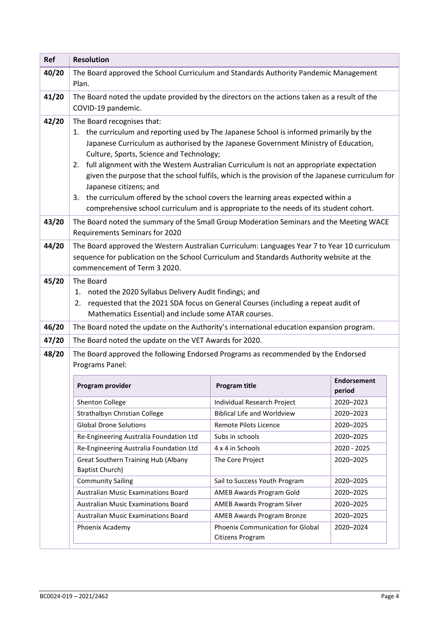| Ref   | <b>Resolution</b>                                                                                                                                                                                                        |                                                      |                              |
|-------|--------------------------------------------------------------------------------------------------------------------------------------------------------------------------------------------------------------------------|------------------------------------------------------|------------------------------|
| 40/20 | The Board approved the School Curriculum and Standards Authority Pandemic Management                                                                                                                                     |                                                      |                              |
|       | Plan.                                                                                                                                                                                                                    |                                                      |                              |
| 41/20 | The Board noted the update provided by the directors on the actions taken as a result of the<br>COVID-19 pandemic.                                                                                                       |                                                      |                              |
| 42/20 | The Board recognises that:                                                                                                                                                                                               |                                                      |                              |
|       | 1. the curriculum and reporting used by The Japanese School is informed primarily by the                                                                                                                                 |                                                      |                              |
|       | Japanese Curriculum as authorised by the Japanese Government Ministry of Education,                                                                                                                                      |                                                      |                              |
|       | Culture, Sports, Science and Technology;                                                                                                                                                                                 |                                                      |                              |
|       | full alignment with the Western Australian Curriculum is not an appropriate expectation<br>2.<br>given the purpose that the school fulfils, which is the provision of the Japanese curriculum for                        |                                                      |                              |
|       | Japanese citizens; and                                                                                                                                                                                                   |                                                      |                              |
|       | 3. the curriculum offered by the school covers the learning areas expected within a                                                                                                                                      |                                                      |                              |
|       | comprehensive school curriculum and is appropriate to the needs of its student cohort.                                                                                                                                   |                                                      |                              |
| 43/20 | The Board noted the summary of the Small Group Moderation Seminars and the Meeting WACE<br>Requirements Seminars for 2020                                                                                                |                                                      |                              |
| 44/20 | The Board approved the Western Australian Curriculum: Languages Year 7 to Year 10 curriculum<br>sequence for publication on the School Curriculum and Standards Authority website at the<br>commencement of Term 3 2020. |                                                      |                              |
| 45/20 | The Board<br>1. noted the 2020 Syllabus Delivery Audit findings; and<br>requested that the 2021 SDA focus on General Courses (including a repeat audit of<br>2.<br>Mathematics Essential) and include some ATAR courses. |                                                      |                              |
| 46/20 | The Board noted the update on the Authority's international education expansion program.                                                                                                                                 |                                                      |                              |
| 47/20 | The Board noted the update on the VET Awards for 2020.                                                                                                                                                                   |                                                      |                              |
| 48/20 | The Board approved the following Endorsed Programs as recommended by the Endorsed<br>Programs Panel:                                                                                                                     |                                                      |                              |
|       | Program provider                                                                                                                                                                                                         | Program title                                        | <b>Endorsement</b><br>period |
|       | Shenton College                                                                                                                                                                                                          | Individual Research Project                          | 2020-2023                    |
|       | Strathalbyn Christian College                                                                                                                                                                                            | <b>Biblical Life and Worldview</b>                   | 2020-2023                    |
|       | <b>Global Drone Solutions</b>                                                                                                                                                                                            | Remote Pilots Licence                                | 2020-2025                    |
|       | Re-Engineering Australia Foundation Ltd                                                                                                                                                                                  | Subs in schools                                      | 2020-2025                    |
|       | Re-Engineering Australia Foundation Ltd                                                                                                                                                                                  | 4 x 4 in Schools                                     | 2020 - 2025                  |
|       | Great Southern Training Hub (Albany<br><b>Baptist Church)</b>                                                                                                                                                            | The Core Project                                     | 2020-2025                    |
|       | <b>Community Sailing</b>                                                                                                                                                                                                 | Sail to Success Youth Program                        | 2020-2025                    |
|       | Australian Music Examinations Board                                                                                                                                                                                      | AMEB Awards Program Gold                             | 2020-2025                    |
|       | Australian Music Examinations Board                                                                                                                                                                                      | AMEB Awards Program Silver                           | 2020-2025                    |
|       | <b>Australian Music Examinations Board</b>                                                                                                                                                                               | AMEB Awards Program Bronze                           | 2020-2025                    |
|       | Phoenix Academy                                                                                                                                                                                                          | Phoenix Communication for Global<br>Citizens Program | 2020-2024                    |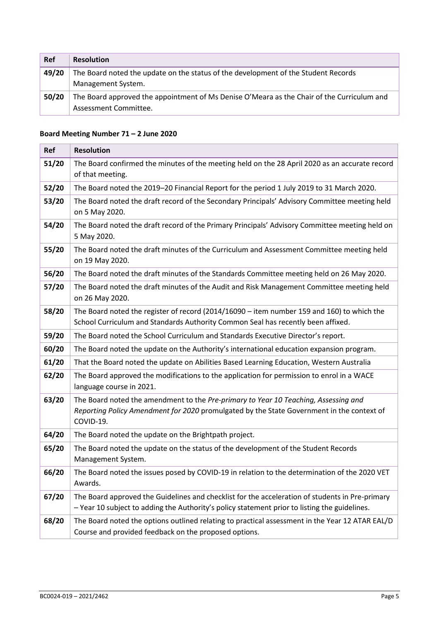| Ref   | <b>Resolution</b>                                                                          |  |
|-------|--------------------------------------------------------------------------------------------|--|
| 49/20 | The Board noted the update on the status of the development of the Student Records         |  |
|       | Management System.                                                                         |  |
| 50/20 | The Board approved the appointment of Ms Denise O'Meara as the Chair of the Curriculum and |  |
|       | Assessment Committee.                                                                      |  |

### **Board Meeting Number 71 – 2 June 2020**

| <b>Ref</b> | <b>Resolution</b>                                                                                                                                                                                |
|------------|--------------------------------------------------------------------------------------------------------------------------------------------------------------------------------------------------|
| 51/20      | The Board confirmed the minutes of the meeting held on the 28 April 2020 as an accurate record<br>of that meeting.                                                                               |
| 52/20      | The Board noted the 2019-20 Financial Report for the period 1 July 2019 to 31 March 2020.                                                                                                        |
| 53/20      | The Board noted the draft record of the Secondary Principals' Advisory Committee meeting held<br>on 5 May 2020.                                                                                  |
| 54/20      | The Board noted the draft record of the Primary Principals' Advisory Committee meeting held on<br>5 May 2020.                                                                                    |
| 55/20      | The Board noted the draft minutes of the Curriculum and Assessment Committee meeting held<br>on 19 May 2020.                                                                                     |
| 56/20      | The Board noted the draft minutes of the Standards Committee meeting held on 26 May 2020.                                                                                                        |
| 57/20      | The Board noted the draft minutes of the Audit and Risk Management Committee meeting held<br>on 26 May 2020.                                                                                     |
| 58/20      | The Board noted the register of record (2014/16090 - item number 159 and 160) to which the<br>School Curriculum and Standards Authority Common Seal has recently been affixed.                   |
| 59/20      | The Board noted the School Curriculum and Standards Executive Director's report.                                                                                                                 |
| 60/20      | The Board noted the update on the Authority's international education expansion program.                                                                                                         |
| 61/20      | That the Board noted the update on Abilities Based Learning Education, Western Australia                                                                                                         |
| 62/20      | The Board approved the modifications to the application for permission to enrol in a WACE<br>language course in 2021.                                                                            |
| 63/20      | The Board noted the amendment to the Pre-primary to Year 10 Teaching, Assessing and<br>Reporting Policy Amendment for 2020 promulgated by the State Government in the context of<br>COVID-19.    |
| 64/20      | The Board noted the update on the Brightpath project.                                                                                                                                            |
| 65/20      | The Board noted the update on the status of the development of the Student Records<br>Management System.                                                                                         |
| 66/20      | The Board noted the issues posed by COVID-19 in relation to the determination of the 2020 VET<br>Awards.                                                                                         |
| 67/20      | The Board approved the Guidelines and checklist for the acceleration of students in Pre-primary<br>- Year 10 subject to adding the Authority's policy statement prior to listing the guidelines. |
| 68/20      | The Board noted the options outlined relating to practical assessment in the Year 12 ATAR EAL/D<br>Course and provided feedback on the proposed options.                                         |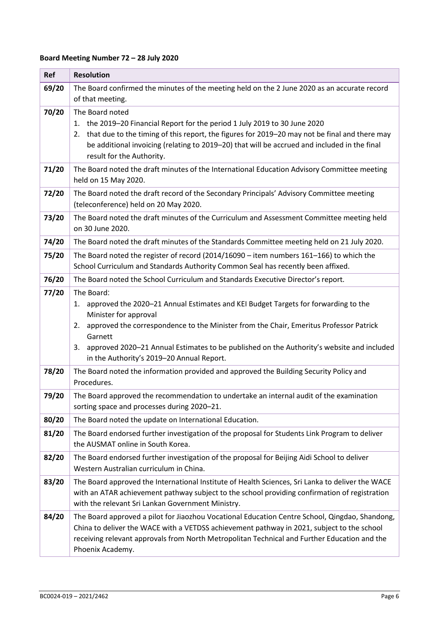# **Board Meeting Number 72 – 28 July 2020**

| Ref   | <b>Resolution</b>                                                                                                                                                                                                                                                                                                                                                                          |
|-------|--------------------------------------------------------------------------------------------------------------------------------------------------------------------------------------------------------------------------------------------------------------------------------------------------------------------------------------------------------------------------------------------|
| 69/20 | The Board confirmed the minutes of the meeting held on the 2 June 2020 as an accurate record<br>of that meeting.                                                                                                                                                                                                                                                                           |
| 70/20 | The Board noted<br>the 2019-20 Financial Report for the period 1 July 2019 to 30 June 2020<br>1.<br>that due to the timing of this report, the figures for 2019-20 may not be final and there may<br>2.<br>be additional invoicing (relating to 2019-20) that will be accrued and included in the final<br>result for the Authority.                                                       |
| 71/20 | The Board noted the draft minutes of the International Education Advisory Committee meeting<br>held on 15 May 2020.                                                                                                                                                                                                                                                                        |
| 72/20 | The Board noted the draft record of the Secondary Principals' Advisory Committee meeting<br>(teleconference) held on 20 May 2020.                                                                                                                                                                                                                                                          |
| 73/20 | The Board noted the draft minutes of the Curriculum and Assessment Committee meeting held<br>on 30 June 2020.                                                                                                                                                                                                                                                                              |
| 74/20 | The Board noted the draft minutes of the Standards Committee meeting held on 21 July 2020.                                                                                                                                                                                                                                                                                                 |
| 75/20 | The Board noted the register of record (2014/16090 - item numbers 161-166) to which the<br>School Curriculum and Standards Authority Common Seal has recently been affixed.                                                                                                                                                                                                                |
| 76/20 | The Board noted the School Curriculum and Standards Executive Director's report.                                                                                                                                                                                                                                                                                                           |
| 77/20 | The Board:<br>approved the 2020-21 Annual Estimates and KEI Budget Targets for forwarding to the<br>1.<br>Minister for approval<br>approved the correspondence to the Minister from the Chair, Emeritus Professor Patrick<br>2.<br>Garnett<br>approved 2020-21 Annual Estimates to be published on the Authority's website and included<br>3.<br>in the Authority's 2019-20 Annual Report. |
| 78/20 | The Board noted the information provided and approved the Building Security Policy and<br>Procedures.                                                                                                                                                                                                                                                                                      |
| 79/20 | The Board approved the recommendation to undertake an internal audit of the examination<br>sorting space and processes during 2020-21.                                                                                                                                                                                                                                                     |
| 80/20 | The Board noted the update on International Education.                                                                                                                                                                                                                                                                                                                                     |
| 81/20 | The Board endorsed further investigation of the proposal for Students Link Program to deliver<br>the AUSMAT online in South Korea.                                                                                                                                                                                                                                                         |
| 82/20 | The Board endorsed further investigation of the proposal for Beijing Aidi School to deliver<br>Western Australian curriculum in China.                                                                                                                                                                                                                                                     |
| 83/20 | The Board approved the International Institute of Health Sciences, Sri Lanka to deliver the WACE<br>with an ATAR achievement pathway subject to the school providing confirmation of registration<br>with the relevant Sri Lankan Government Ministry.                                                                                                                                     |
| 84/20 | The Board approved a pilot for Jiaozhou Vocational Education Centre School, Qingdao, Shandong,<br>China to deliver the WACE with a VETDSS achievement pathway in 2021, subject to the school<br>receiving relevant approvals from North Metropolitan Technical and Further Education and the<br>Phoenix Academy.                                                                           |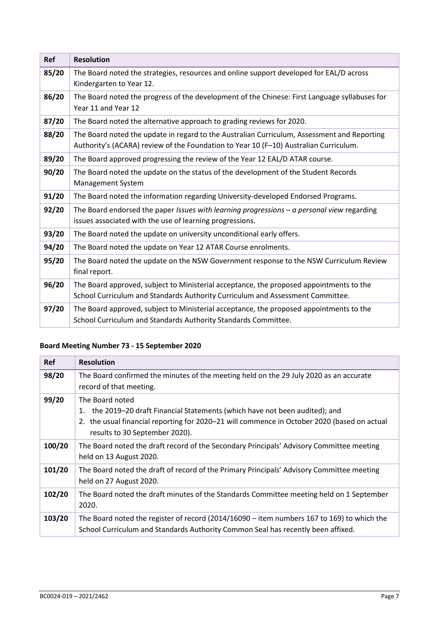| <b>Ref</b> | <b>Resolution</b>                                                                                                                                                                    |
|------------|--------------------------------------------------------------------------------------------------------------------------------------------------------------------------------------|
| 85/20      | The Board noted the strategies, resources and online support developed for EAL/D across<br>Kindergarten to Year 12.                                                                  |
| 86/20      | The Board noted the progress of the development of the Chinese: First Language syllabuses for<br>Year 11 and Year 12                                                                 |
| 87/20      | The Board noted the alternative approach to grading reviews for 2020.                                                                                                                |
| 88/20      | The Board noted the update in regard to the Australian Curriculum, Assessment and Reporting<br>Authority's (ACARA) review of the Foundation to Year 10 (F-10) Australian Curriculum. |
| 89/20      | The Board approved progressing the review of the Year 12 EAL/D ATAR course.                                                                                                          |
| 90/20      | The Board noted the update on the status of the development of the Student Records<br><b>Management System</b>                                                                       |
| 91/20      | The Board noted the information regarding University-developed Endorsed Programs.                                                                                                    |
| 92/20      | The Board endorsed the paper Issues with learning progressions $-$ a personal view regarding<br>issues associated with the use of learning progressions.                             |
| 93/20      | The Board noted the update on university unconditional early offers.                                                                                                                 |
| 94/20      | The Board noted the update on Year 12 ATAR Course enrolments.                                                                                                                        |
| 95/20      | The Board noted the update on the NSW Government response to the NSW Curriculum Review<br>final report.                                                                              |
| 96/20      | The Board approved, subject to Ministerial acceptance, the proposed appointments to the<br>School Curriculum and Standards Authority Curriculum and Assessment Committee.            |
| 97/20      | The Board approved, subject to Ministerial acceptance, the proposed appointments to the<br>School Curriculum and Standards Authority Standards Committee.                            |

# **Board Meeting Number 73 - 15 September 2020**

| <b>Ref</b> | <b>Resolution</b>                                                                                                                                                                                                          |
|------------|----------------------------------------------------------------------------------------------------------------------------------------------------------------------------------------------------------------------------|
| 98/20      | The Board confirmed the minutes of the meeting held on the 29 July 2020 as an accurate<br>record of that meeting.                                                                                                          |
| 99/20      | The Board noted<br>the 2019-20 draft Financial Statements (which have not been audited); and<br>the usual financial reporting for 2020-21 will commence in October 2020 (based on actual<br>results to 30 September 2020). |
| 100/20     | The Board noted the draft record of the Secondary Principals' Advisory Committee meeting<br>held on 13 August 2020.                                                                                                        |
| 101/20     | The Board noted the draft of record of the Primary Principals' Advisory Committee meeting<br>held on 27 August 2020.                                                                                                       |
| 102/20     | The Board noted the draft minutes of the Standards Committee meeting held on 1 September<br>2020.                                                                                                                          |
| 103/20     | The Board noted the register of record $(2014/16090 - item$ numbers 167 to 169) to which the<br>School Curriculum and Standards Authority Common Seal has recently been affixed.                                           |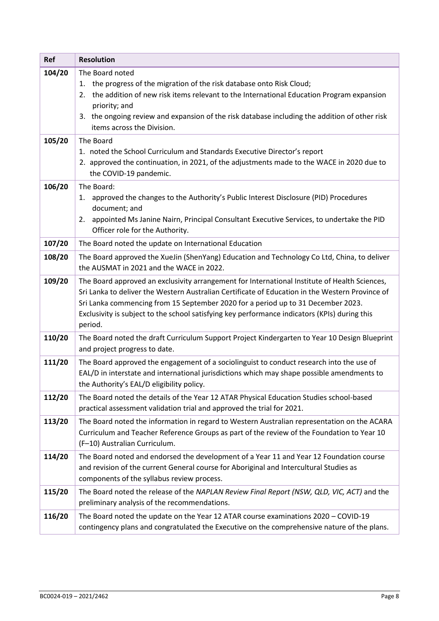| <b>Ref</b> | <b>Resolution</b>                                                                                                                                                                 |
|------------|-----------------------------------------------------------------------------------------------------------------------------------------------------------------------------------|
| 104/20     | The Board noted                                                                                                                                                                   |
|            | 1. the progress of the migration of the risk database onto Risk Cloud;                                                                                                            |
|            | the addition of new risk items relevant to the International Education Program expansion<br>2.                                                                                    |
|            | priority; and                                                                                                                                                                     |
|            | 3. the ongoing review and expansion of the risk database including the addition of other risk<br>items across the Division.                                                       |
| 105/20     | The Board                                                                                                                                                                         |
|            | 1. noted the School Curriculum and Standards Executive Director's report                                                                                                          |
|            | 2. approved the continuation, in 2021, of the adjustments made to the WACE in 2020 due to                                                                                         |
|            | the COVID-19 pandemic.                                                                                                                                                            |
| 106/20     | The Board:                                                                                                                                                                        |
|            | 1. approved the changes to the Authority's Public Interest Disclosure (PID) Procedures<br>document; and                                                                           |
|            | appointed Ms Janine Nairn, Principal Consultant Executive Services, to undertake the PID<br>2.                                                                                    |
|            | Officer role for the Authority.                                                                                                                                                   |
| 107/20     | The Board noted the update on International Education                                                                                                                             |
| 108/20     | The Board approved the XueJin (ShenYang) Education and Technology Co Ltd, China, to deliver                                                                                       |
|            | the AUSMAT in 2021 and the WACE in 2022.                                                                                                                                          |
| 109/20     | The Board approved an exclusivity arrangement for International Institute of Health Sciences,                                                                                     |
|            | Sri Lanka to deliver the Western Australian Certificate of Education in the Western Province of                                                                                   |
|            | Sri Lanka commencing from 15 September 2020 for a period up to 31 December 2023.                                                                                                  |
|            | Exclusivity is subject to the school satisfying key performance indicators (KPIs) during this                                                                                     |
|            | period.                                                                                                                                                                           |
| 110/20     | The Board noted the draft Curriculum Support Project Kindergarten to Year 10 Design Blueprint<br>and project progress to date.                                                    |
| 111/20     | The Board approved the engagement of a sociolinguist to conduct research into the use of                                                                                          |
|            | EAL/D in interstate and international jurisdictions which may shape possible amendments to                                                                                        |
|            | the Authority's EAL/D eligibility policy.                                                                                                                                         |
| 112/20     | The Board noted the details of the Year 12 ATAR Physical Education Studies school-based                                                                                           |
|            | practical assessment validation trial and approved the trial for 2021.                                                                                                            |
| 113/20     | The Board noted the information in regard to Western Australian representation on the ACARA                                                                                       |
|            | Curriculum and Teacher Reference Groups as part of the review of the Foundation to Year 10                                                                                        |
|            | (F-10) Australian Curriculum.                                                                                                                                                     |
| 114/20     | The Board noted and endorsed the development of a Year 11 and Year 12 Foundation course<br>and revision of the current General course for Aboriginal and Intercultural Studies as |
|            | components of the syllabus review process.                                                                                                                                        |
| 115/20     | The Board noted the release of the NAPLAN Review Final Report (NSW, QLD, VIC, ACT) and the                                                                                        |
|            | preliminary analysis of the recommendations.                                                                                                                                      |
| 116/20     | The Board noted the update on the Year 12 ATAR course examinations 2020 - COVID-19                                                                                                |
|            | contingency plans and congratulated the Executive on the comprehensive nature of the plans.                                                                                       |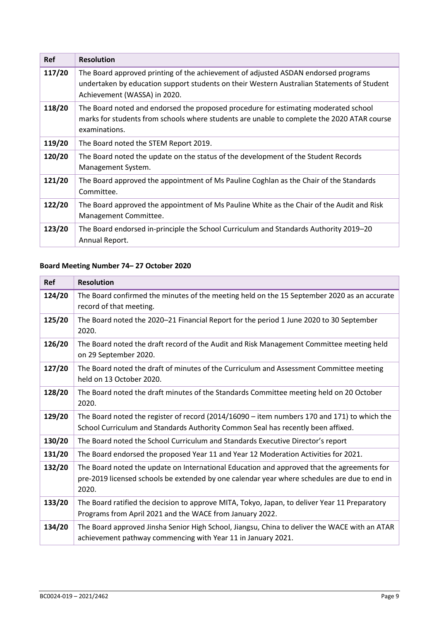| <b>Ref</b> | <b>Resolution</b>                                                                                                                                                                                                |
|------------|------------------------------------------------------------------------------------------------------------------------------------------------------------------------------------------------------------------|
| 117/20     | The Board approved printing of the achievement of adjusted ASDAN endorsed programs<br>undertaken by education support students on their Western Australian Statements of Student<br>Achievement (WASSA) in 2020. |
| 118/20     | The Board noted and endorsed the proposed procedure for estimating moderated school<br>marks for students from schools where students are unable to complete the 2020 ATAR course<br>examinations.               |
| 119/20     | The Board noted the STEM Report 2019.                                                                                                                                                                            |
| 120/20     | The Board noted the update on the status of the development of the Student Records<br>Management System.                                                                                                         |
| 121/20     | The Board approved the appointment of Ms Pauline Coghlan as the Chair of the Standards<br>Committee.                                                                                                             |
| 122/20     | The Board approved the appointment of Ms Pauline White as the Chair of the Audit and Risk<br>Management Committee.                                                                                               |
| 123/20     | The Board endorsed in-principle the School Curriculum and Standards Authority 2019–20<br>Annual Report.                                                                                                          |

# **Board Meeting Number 74– 27 October 2020**

| <b>Ref</b> | <b>Resolution</b>                                                                                                                                                                                   |
|------------|-----------------------------------------------------------------------------------------------------------------------------------------------------------------------------------------------------|
| 124/20     | The Board confirmed the minutes of the meeting held on the 15 September 2020 as an accurate<br>record of that meeting.                                                                              |
| 125/20     | The Board noted the 2020-21 Financial Report for the period 1 June 2020 to 30 September<br>2020.                                                                                                    |
| 126/20     | The Board noted the draft record of the Audit and Risk Management Committee meeting held<br>on 29 September 2020.                                                                                   |
| 127/20     | The Board noted the draft of minutes of the Curriculum and Assessment Committee meeting<br>held on 13 October 2020.                                                                                 |
| 128/20     | The Board noted the draft minutes of the Standards Committee meeting held on 20 October<br>2020.                                                                                                    |
| 129/20     | The Board noted the register of record (2014/16090 - item numbers 170 and 171) to which the<br>School Curriculum and Standards Authority Common Seal has recently been affixed.                     |
| 130/20     | The Board noted the School Curriculum and Standards Executive Director's report                                                                                                                     |
| 131/20     | The Board endorsed the proposed Year 11 and Year 12 Moderation Activities for 2021.                                                                                                                 |
| 132/20     | The Board noted the update on International Education and approved that the agreements for<br>pre-2019 licensed schools be extended by one calendar year where schedules are due to end in<br>2020. |
| 133/20     | The Board ratified the decision to approve MITA, Tokyo, Japan, to deliver Year 11 Preparatory<br>Programs from April 2021 and the WACE from January 2022.                                           |
| 134/20     | The Board approved Jinsha Senior High School, Jiangsu, China to deliver the WACE with an ATAR<br>achievement pathway commencing with Year 11 in January 2021.                                       |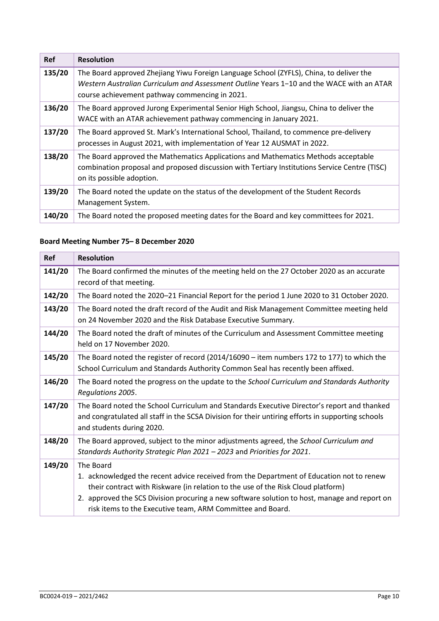| <b>Ref</b> | <b>Resolution</b>                                                                                                                                                                                                                      |
|------------|----------------------------------------------------------------------------------------------------------------------------------------------------------------------------------------------------------------------------------------|
| 135/20     | The Board approved Zhejiang Yiwu Foreign Language School (ZYFLS), China, to deliver the<br>Western Australian Curriculum and Assessment Outline Years 1-10 and the WACE with an ATAR<br>course achievement pathway commencing in 2021. |
| 136/20     | The Board approved Jurong Experimental Senior High School, Jiangsu, China to deliver the<br>WACE with an ATAR achievement pathway commencing in January 2021.                                                                          |
| 137/20     | The Board approved St. Mark's International School, Thailand, to commence pre-delivery<br>processes in August 2021, with implementation of Year 12 AUSMAT in 2022.                                                                     |
| 138/20     | The Board approved the Mathematics Applications and Mathematics Methods acceptable<br>combination proposal and proposed discussion with Tertiary Institutions Service Centre (TISC)<br>on its possible adoption.                       |
| 139/20     | The Board noted the update on the status of the development of the Student Records<br>Management System.                                                                                                                               |
| 140/20     | The Board noted the proposed meeting dates for the Board and key committees for 2021.                                                                                                                                                  |

# **Board Meeting Number 75– 8 December 2020**

| <b>Ref</b> | <b>Resolution</b>                                                                                                                                                                                                                                                                                                                                       |
|------------|---------------------------------------------------------------------------------------------------------------------------------------------------------------------------------------------------------------------------------------------------------------------------------------------------------------------------------------------------------|
| 141/20     | The Board confirmed the minutes of the meeting held on the 27 October 2020 as an accurate<br>record of that meeting.                                                                                                                                                                                                                                    |
| 142/20     | The Board noted the 2020-21 Financial Report for the period 1 June 2020 to 31 October 2020.                                                                                                                                                                                                                                                             |
| 143/20     | The Board noted the draft record of the Audit and Risk Management Committee meeting held<br>on 24 November 2020 and the Risk Database Executive Summary.                                                                                                                                                                                                |
| 144/20     | The Board noted the draft of minutes of the Curriculum and Assessment Committee meeting<br>held on 17 November 2020.                                                                                                                                                                                                                                    |
| 145/20     | The Board noted the register of record $(2014/16090 -$ item numbers 172 to 177) to which the<br>School Curriculum and Standards Authority Common Seal has recently been affixed.                                                                                                                                                                        |
| 146/20     | The Board noted the progress on the update to the School Curriculum and Standards Authority<br>Regulations 2005.                                                                                                                                                                                                                                        |
| 147/20     | The Board noted the School Curriculum and Standards Executive Director's report and thanked<br>and congratulated all staff in the SCSA Division for their untiring efforts in supporting schools<br>and students during 2020.                                                                                                                           |
| 148/20     | The Board approved, subject to the minor adjustments agreed, the School Curriculum and<br>Standards Authority Strategic Plan 2021 - 2023 and Priorities for 2021.                                                                                                                                                                                       |
| 149/20     | The Board<br>1. acknowledged the recent advice received from the Department of Education not to renew<br>their contract with Riskware (in relation to the use of the Risk Cloud platform)<br>2. approved the SCS Division procuring a new software solution to host, manage and report on<br>risk items to the Executive team, ARM Committee and Board. |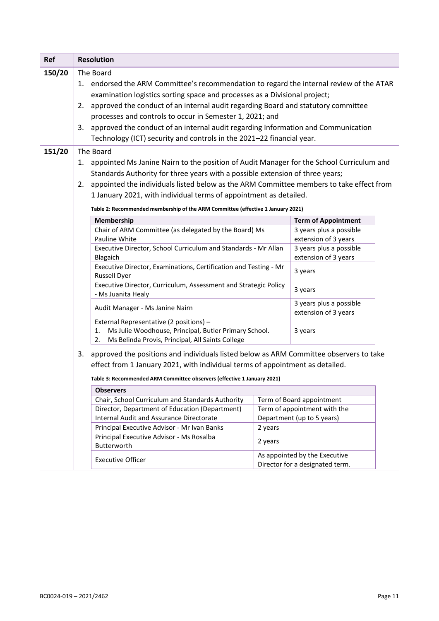| <b>Ref</b> | <b>Resolution</b>                                                                                                                                                             |                                                                                                                                                                  |         |                                                 |  |  |
|------------|-------------------------------------------------------------------------------------------------------------------------------------------------------------------------------|------------------------------------------------------------------------------------------------------------------------------------------------------------------|---------|-------------------------------------------------|--|--|
| 150/20     |                                                                                                                                                                               | The Board                                                                                                                                                        |         |                                                 |  |  |
|            | 1.                                                                                                                                                                            | endorsed the ARM Committee's recommendation to regard the internal review of the ATAR                                                                            |         |                                                 |  |  |
|            |                                                                                                                                                                               | examination logistics sorting space and processes as a Divisional project;                                                                                       |         |                                                 |  |  |
|            | 2.                                                                                                                                                                            | approved the conduct of an internal audit regarding Board and statutory committee                                                                                |         |                                                 |  |  |
|            |                                                                                                                                                                               | processes and controls to occur in Semester 1, 2021; and                                                                                                         |         |                                                 |  |  |
|            | 3.                                                                                                                                                                            | approved the conduct of an internal audit regarding Information and Communication                                                                                |         |                                                 |  |  |
|            |                                                                                                                                                                               | Technology (ICT) security and controls in the 2021-22 financial year.                                                                                            |         |                                                 |  |  |
| 151/20     |                                                                                                                                                                               | The Board                                                                                                                                                        |         |                                                 |  |  |
|            | 1.                                                                                                                                                                            | appointed Ms Janine Nairn to the position of Audit Manager for the School Curriculum and                                                                         |         |                                                 |  |  |
|            |                                                                                                                                                                               | Standards Authority for three years with a possible extension of three years;                                                                                    |         |                                                 |  |  |
|            | 2.                                                                                                                                                                            | appointed the individuals listed below as the ARM Committee members to take effect from                                                                          |         |                                                 |  |  |
|            |                                                                                                                                                                               | 1 January 2021, with individual terms of appointment as detailed.                                                                                                |         |                                                 |  |  |
|            |                                                                                                                                                                               | Table 2: Recommended membership of the ARM Committee (effective 1 January 2021)                                                                                  |         |                                                 |  |  |
|            |                                                                                                                                                                               | Membership                                                                                                                                                       |         | <b>Term of Appointment</b>                      |  |  |
|            |                                                                                                                                                                               | Chair of ARM Committee (as delegated by the Board) Ms                                                                                                            |         | 3 years plus a possible                         |  |  |
|            |                                                                                                                                                                               | Pauline White                                                                                                                                                    |         | extension of 3 years                            |  |  |
|            |                                                                                                                                                                               | Executive Director, School Curriculum and Standards - Mr Allan                                                                                                   |         | 3 years plus a possible                         |  |  |
|            |                                                                                                                                                                               | Blagaich                                                                                                                                                         |         | extension of 3 years                            |  |  |
|            |                                                                                                                                                                               | Executive Director, Examinations, Certification and Testing - Mr<br><b>Russell Dyer</b>                                                                          |         | 3 years                                         |  |  |
|            |                                                                                                                                                                               | Executive Director, Curriculum, Assessment and Strategic Policy<br>- Ms Juanita Healy                                                                            |         | 3 years                                         |  |  |
|            |                                                                                                                                                                               | Audit Manager - Ms Janine Nairn                                                                                                                                  |         | 3 years plus a possible<br>extension of 3 years |  |  |
|            |                                                                                                                                                                               | External Representative (2 positions) -<br>Ms Julie Woodhouse, Principal, Butler Primary School.<br>1.<br>Ms Belinda Provis, Principal, All Saints College<br>2. |         | 3 years                                         |  |  |
|            | approved the positions and individuals listed below as ARM Committee observers to take<br>3.<br>effect from 1 January 2021, with individual terms of appointment as detailed. |                                                                                                                                                                  |         |                                                 |  |  |
|            | Table 3: Recommended ARM Committee observers (effective 1 January 2021)                                                                                                       |                                                                                                                                                                  |         |                                                 |  |  |
|            |                                                                                                                                                                               | <b>Observers</b>                                                                                                                                                 |         |                                                 |  |  |
|            |                                                                                                                                                                               | Chair, School Curriculum and Standards Authority                                                                                                                 |         | Term of Board appointment                       |  |  |
|            |                                                                                                                                                                               | Director, Department of Education (Department)                                                                                                                   |         | Term of appointment with the                    |  |  |
|            |                                                                                                                                                                               | Internal Audit and Assurance Directorate                                                                                                                         |         | Department (up to 5 years)                      |  |  |
|            |                                                                                                                                                                               | Principal Executive Advisor - Mr Ivan Banks                                                                                                                      | 2 years |                                                 |  |  |
|            |                                                                                                                                                                               | Principal Executive Advisor - Ms Rosalba<br>Butterworth                                                                                                          | 2 years |                                                 |  |  |
|            | As appointed by the Executive<br><b>Executive Officer</b>                                                                                                                     |                                                                                                                                                                  |         |                                                 |  |  |
|            |                                                                                                                                                                               |                                                                                                                                                                  |         | Director for a designated term.                 |  |  |